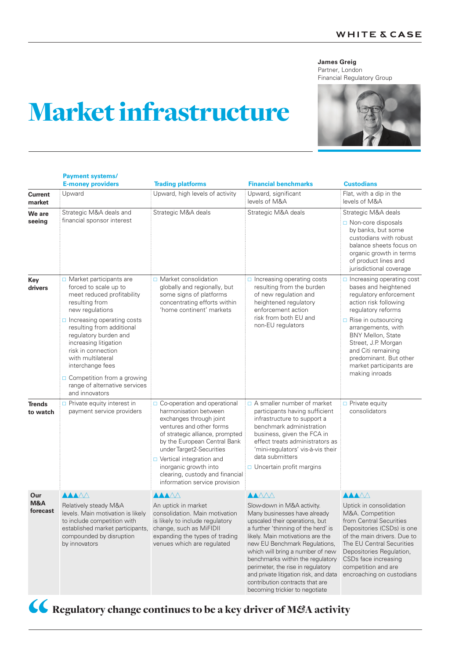## **James Greig**

Partner, London Financial Regulatory Group

## Market infrastructure

**Payment systems/**

|                          | <b>E-money providers</b>                                                                                                                                                                                                                                                                                                                                                                       | <b>Trading platforms</b>                                                                                                                                                                                                                                                                                                                      | <b>Financial benchmarks</b>                                                                                                                                                                                                                                                                                                                                                                                       | <b>Custodians</b>                                                                                                                                                                                                                                                                                                              |
|--------------------------|------------------------------------------------------------------------------------------------------------------------------------------------------------------------------------------------------------------------------------------------------------------------------------------------------------------------------------------------------------------------------------------------|-----------------------------------------------------------------------------------------------------------------------------------------------------------------------------------------------------------------------------------------------------------------------------------------------------------------------------------------------|-------------------------------------------------------------------------------------------------------------------------------------------------------------------------------------------------------------------------------------------------------------------------------------------------------------------------------------------------------------------------------------------------------------------|--------------------------------------------------------------------------------------------------------------------------------------------------------------------------------------------------------------------------------------------------------------------------------------------------------------------------------|
| <b>Current</b><br>market | Upward                                                                                                                                                                                                                                                                                                                                                                                         | Upward, high levels of activity                                                                                                                                                                                                                                                                                                               | Upward, significant<br>levels of M&A                                                                                                                                                                                                                                                                                                                                                                              | Flat, with a dip in the<br>levels of M&A                                                                                                                                                                                                                                                                                       |
| We are<br>seeing         | Strategic M&A deals and<br>financial sponsor interest                                                                                                                                                                                                                                                                                                                                          | Strategic M&A deals                                                                                                                                                                                                                                                                                                                           | Strategic M&A deals                                                                                                                                                                                                                                                                                                                                                                                               | Strategic M&A deals<br>$\Box$ Non-core disposals<br>by banks, but some<br>custodians with robust<br>balance sheets focus on<br>organic growth in terms<br>of product lines and<br>jurisdictional coverage                                                                                                                      |
| Key<br>drivers           | Market participants are<br>forced to scale up to<br>meet reduced profitability<br>resulting from<br>new regulations<br>$\Box$ Increasing operating costs<br>resulting from additional<br>regulatory burden and<br>increasing litigation<br>risk in connection<br>with multilateral<br>interchange fees<br>$\Box$ Competition from a growing<br>range of alternative services<br>and innovators | $\Box$ Market consolidation<br>globally and regionally, but<br>some signs of platforms<br>concentrating efforts within<br>'home continent' markets                                                                                                                                                                                            | $\Box$ Increasing operating costs<br>resulting from the burden<br>of new regulation and<br>heightened regulatory<br>enforcement action<br>risk from both EU and<br>non-EU regulators                                                                                                                                                                                                                              | $\Box$ Increasing operating cost<br>bases and heightened<br>regulatory enforcement<br>action risk following<br>regulatory reforms<br>$\Box$ Rise in outsourcing<br>arrangements, with<br>BNY Mellon, State<br>Street, J.P. Morgan<br>and Citi remaining<br>predominant. But other<br>market participants are<br>making inroads |
| Trends<br>to watch       | $\Box$ Private equity interest in<br>payment service providers                                                                                                                                                                                                                                                                                                                                 | $\Box$ Co-operation and operational<br>harmonisation between<br>exchanges through joint<br>ventures and other forms<br>of strategic alliance, prompted<br>by the European Central Bank<br>under Target2-Securities<br>□ Vertical integration and<br>inorganic growth into<br>clearing, custody and financial<br>information service provision | $\Box$ A smaller number of market<br>participants having sufficient<br>infrastructure to support a<br>benchmark administration<br>business, given the FCA in<br>effect treats administrators as<br>'mini-regulators' vis-à-vis their<br>data submitters<br>$\Box$ Uncertain profit margins                                                                                                                        | $\Box$ Private equity<br>consolidators                                                                                                                                                                                                                                                                                         |
| Our<br>M&A<br>forecast   | <b>AAAAA</b><br>Relatively steady M&A<br>levels. Main motivation is likely<br>to include competition with<br>established market participants,<br>compounded by disruption<br>by innovators                                                                                                                                                                                                     | <u>AAAAA</u><br>An uptick in market<br>consolidation. Main motivation<br>is likely to include regulatory<br>change, such as MiFIDII<br>expanding the types of trading<br>venues which are regulated                                                                                                                                           | <b>AAAAA</b><br>Slow-down in M&A activity.<br>Many businesses have already<br>upscaled their operations, but<br>a further 'thinning of the herd' is<br>likely. Main motivations are the<br>new EU Benchmark Regulations,<br>which will bring a number of new<br>benchmarks within the regulatory<br>perimeter, the rise in regulatory<br>and private litigation risk, and data<br>contribution contracts that are | <b>AAAAA</b><br>Uptick in consolidation<br>M&A. Competition<br>from Central Securities<br>Depositories (CSDs) is one<br>of the main drivers. Due to<br>The EU Central Securities<br>Depositories Regulation,<br>CSDs face increasing<br>competition and are<br>encroaching on custodians                                       |



Regulatory change continues to be a key driver of M*&*A activity

becoming trickier to negotiate